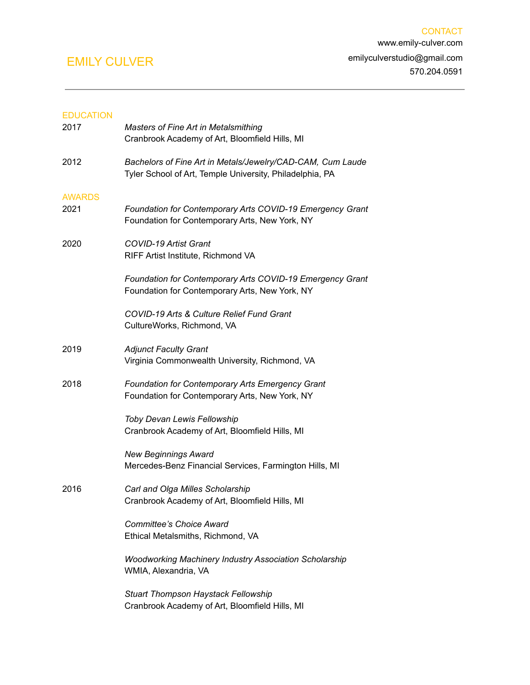### EDUCATION

| 2017          | Masters of Fine Art in Metalsmithing<br>Cranbrook Academy of Art, Bloomfield Hills, MI                                 |
|---------------|------------------------------------------------------------------------------------------------------------------------|
| 2012          | Bachelors of Fine Art in Metals/Jewelry/CAD-CAM, Cum Laude<br>Tyler School of Art, Temple University, Philadelphia, PA |
| <b>AWARDS</b> |                                                                                                                        |
| 2021          | Foundation for Contemporary Arts COVID-19 Emergency Grant<br>Foundation for Contemporary Arts, New York, NY            |
| 2020          | <b>COVID-19 Artist Grant</b><br>RIFF Artist Institute, Richmond VA                                                     |
|               | Foundation for Contemporary Arts COVID-19 Emergency Grant<br>Foundation for Contemporary Arts, New York, NY            |
|               | COVID-19 Arts & Culture Relief Fund Grant<br>CultureWorks, Richmond, VA                                                |
| 2019          | <b>Adjunct Faculty Grant</b><br>Virginia Commonwealth University, Richmond, VA                                         |
| 2018          | Foundation for Contemporary Arts Emergency Grant<br>Foundation for Contemporary Arts, New York, NY                     |
|               | Toby Devan Lewis Fellowship<br>Cranbrook Academy of Art, Bloomfield Hills, MI                                          |
|               | <b>New Beginnings Award</b><br>Mercedes-Benz Financial Services, Farmington Hills, MI                                  |
| 2016          | Carl and Olga Milles Scholarship<br>Cranbrook Academy of Art, Bloomfield Hills, MI                                     |
|               | Committee's Choice Award<br>Ethical Metalsmiths, Richmond, VA                                                          |
|               | <b>Woodworking Machinery Industry Association Scholarship</b><br>WMIA, Alexandria, VA                                  |
|               | <b>Stuart Thompson Haystack Fellowship</b><br>Cranbrook Academy of Art, Bloomfield Hills, MI                           |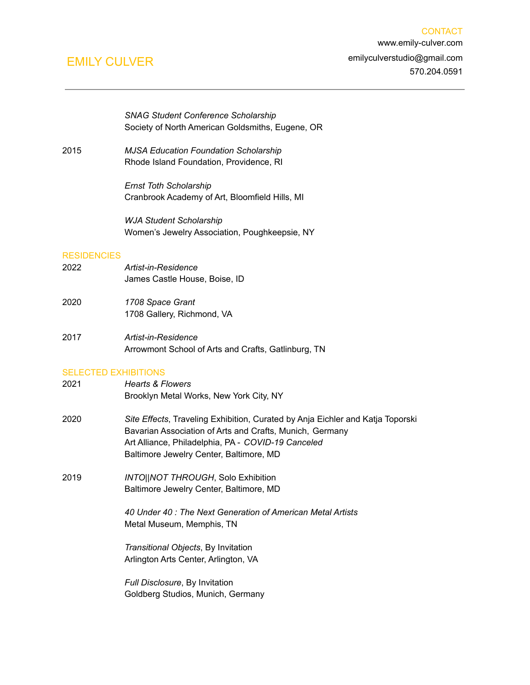*SNAG Student Conference Scholarship* Society of North American Goldsmiths, Eugene, OR

2015 *MJSA Education Foundation Scholarship* Rhode Island Foundation, Providence, RI

> *Ernst Toth Scholarship* Cranbrook Academy of Art, Bloomfield Hills, MI

*WJA Student Scholarship* Women's Jewelry Association, Poughkeepsie, NY

#### **RESIDENCIES**

- 2022 *Artist-in-Residence* James Castle House, Boise, ID
- 2020 *1708 Space Grant* 1708 Gallery, Richmond, VA
- 2017 *Artist-in-Residence* Arrowmont School of Arts and Crafts, Gatlinburg, TN

### SELECTED EXHIBITIONS

- 2021 *Hearts & Flowers* Brooklyn Metal Works, New York City, NY
- 2020 *Site Effects*, Traveling Exhibition, Curated by Anja Eichler and Katja Toporski Bavarian Association of Arts and Crafts, Munich, Germany Art Alliance, Philadelphia, PA - *COVID-19 Canceled* Baltimore Jewelry Center, Baltimore, MD
- 2019 *INTO||NOT THROUGH*, Solo Exhibition Baltimore Jewelry Center, Baltimore, MD

*40 Under 40 : The Next Generation of American Metal Artists* Metal Museum, Memphis, TN

*Transitional Objects*, By Invitation Arlington Arts Center, Arlington, VA

*Full Disclosure*, By Invitation Goldberg Studios, Munich, Germany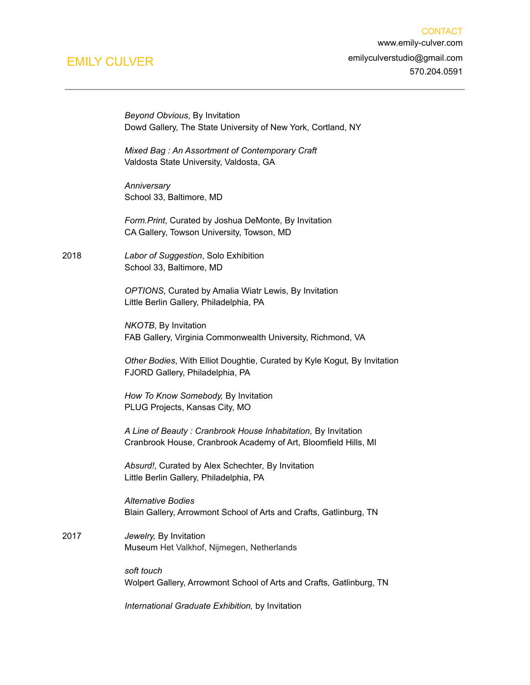*Beyond Obvious*, By Invitation

Dowd Gallery, The State University of New York, Cortland, NY *Mixed Bag : An Assortment of Contemporary Craft* Valdosta State University, Valdosta, GA *Anniversary* School 33, Baltimore, MD *Form.Print*, Curated by Joshua DeMonte, By Invitation CA Gallery, Towson University, Towson, MD 2018 *Labor of Suggestion*, Solo Exhibition School 33, Baltimore, MD *OPTIONS*, Curated by Amalia Wiatr Lewis, By Invitation Little Berlin Gallery, Philadelphia, PA *NKOTB*, By Invitation FAB Gallery, Virginia Commonwealth University, Richmond, VA *Other Bodies*, With Elliot Doughtie, Curated by Kyle Kogut*,* By Invitation FJORD Gallery, Philadelphia, PA *How To Know Somebody,* By Invitation PLUG Projects, Kansas City, MO *A Line of Beauty : Cranbrook House Inhabitation,* By Invitation Cranbrook House, Cranbrook Academy of Art, Bloomfield Hills, MI

> *Absurd!*, Curated by Alex Schechter*,* By Invitation Little Berlin Gallery, Philadelphia, PA

*Alternative Bodies* Blain Gallery, Arrowmont School of Arts and Crafts, Gatlinburg, TN

### 2017 *Jewelry,* By Invitation Museum Het Valkhof, Nijmegen, Netherlands

*soft touch* Wolpert Gallery, Arrowmont School of Arts and Crafts, Gatlinburg, TN

*International Graduate Exhibition,* by Invitation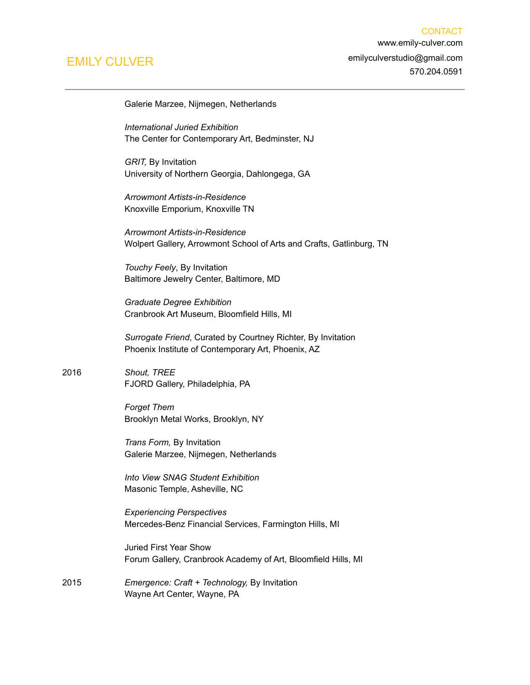Galerie Marzee, Nijmegen, Netherlands

*International Juried Exhibition* The Center for Contemporary Art, Bedminster, NJ

*GRIT,* By Invitation University of Northern Georgia, Dahlongega, GA

*Arrowmont Artists-in-Residence* Knoxville Emporium, Knoxville TN

*Arrowmont Artists-in-Residence* Wolpert Gallery, Arrowmont School of Arts and Crafts, Gatlinburg, TN

*Touchy Feely*, By Invitation Baltimore Jewelry Center, Baltimore, MD

*Graduate Degree Exhibition* Cranbrook Art Museum, Bloomfield Hills, MI

*Surrogate Friend*, Curated by Courtney Richter, By Invitation Phoenix Institute of Contemporary Art, Phoenix, AZ

2016 *Shout, TREE* FJORD Gallery, Philadelphia, PA

> *Forget Them* Brooklyn Metal Works, Brooklyn, NY

*Trans Form,* By Invitation Galerie Marzee, Nijmegen, Netherlands

*Into View SNAG Student Exhibition* Masonic Temple, Asheville, NC

*Experiencing Perspectives* Mercedes-Benz Financial Services, Farmington Hills, MI

Juried First Year Show Forum Gallery, Cranbrook Academy of Art, Bloomfield Hills, MI

2015 *Emergence: Craft + Technology,* By Invitation Wayne Art Center, Wayne, PA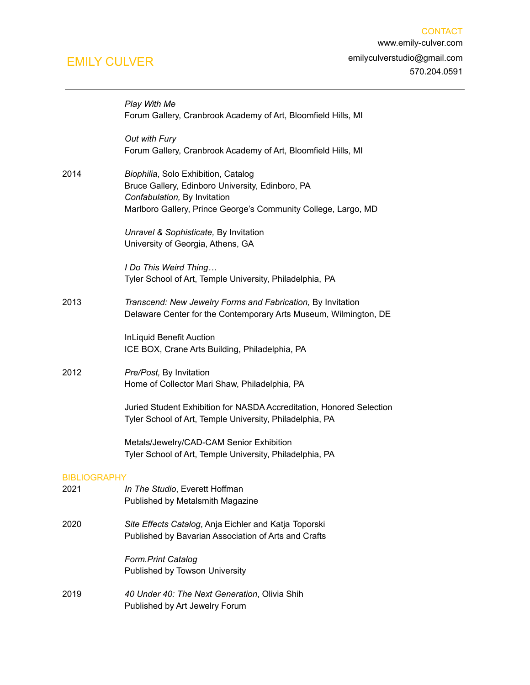|                     | Play With Me<br>Forum Gallery, Cranbrook Academy of Art, Bloomfield Hills, MI                                                                                                             |
|---------------------|-------------------------------------------------------------------------------------------------------------------------------------------------------------------------------------------|
|                     | Out with Fury<br>Forum Gallery, Cranbrook Academy of Art, Bloomfield Hills, MI                                                                                                            |
| 2014                | Biophilia, Solo Exhibition, Catalog<br>Bruce Gallery, Edinboro University, Edinboro, PA<br>Confabulation, By Invitation<br>Marlboro Gallery, Prince George's Community College, Largo, MD |
|                     | Unravel & Sophisticate, By Invitation<br>University of Georgia, Athens, GA                                                                                                                |
|                     | I Do This Weird Thing<br>Tyler School of Art, Temple University, Philadelphia, PA                                                                                                         |
| 2013                | Transcend: New Jewelry Forms and Fabrication, By Invitation<br>Delaware Center for the Contemporary Arts Museum, Wilmington, DE                                                           |
|                     | <b>InLiquid Benefit Auction</b><br>ICE BOX, Crane Arts Building, Philadelphia, PA                                                                                                         |
| 2012                | Pre/Post, By Invitation<br>Home of Collector Mari Shaw, Philadelphia, PA                                                                                                                  |
|                     | Juried Student Exhibition for NASDA Accreditation, Honored Selection<br>Tyler School of Art, Temple University, Philadelphia, PA                                                          |
|                     | Metals/Jewelry/CAD-CAM Senior Exhibition<br>Tyler School of Art, Temple University, Philadelphia, PA                                                                                      |
| <b>BIBLIOGRAPHY</b> |                                                                                                                                                                                           |
| 2021                | In The Studio, Everett Hoffman<br>Published by Metalsmith Magazine                                                                                                                        |
| 2020                | Site Effects Catalog, Anja Eichler and Katja Toporski<br>Published by Bavarian Association of Arts and Crafts                                                                             |
|                     | <b>Form.Print Catalog</b><br>Published by Towson University                                                                                                                               |
| 2019                | 40 Under 40: The Next Generation, Olivia Shih<br>Published by Art Jewelry Forum                                                                                                           |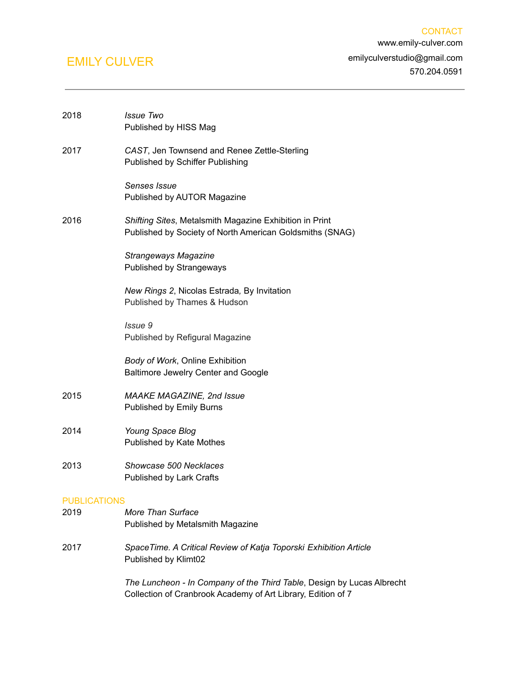| 2018                | <b>Issue Two</b><br>Published by HISS Mag                                                                                              |
|---------------------|----------------------------------------------------------------------------------------------------------------------------------------|
| 2017                | CAST, Jen Townsend and Renee Zettle-Sterling<br>Published by Schiffer Publishing                                                       |
|                     | Senses Issue<br>Published by AUTOR Magazine                                                                                            |
| 2016                | Shifting Sites, Metalsmith Magazine Exhibition in Print<br>Published by Society of North American Goldsmiths (SNAG)                    |
|                     | <b>Strangeways Magazine</b><br>Published by Strangeways                                                                                |
|                     | New Rings 2, Nicolas Estrada, By Invitation<br>Published by Thames & Hudson                                                            |
|                     | Issue 9<br>Published by Refigural Magazine                                                                                             |
|                     | Body of Work, Online Exhibition<br>Baltimore Jewelry Center and Google                                                                 |
| 2015                | <b>MAAKE MAGAZINE, 2nd Issue</b><br>Published by Emily Burns                                                                           |
| 2014                | Young Space Blog<br>Published by Kate Mothes                                                                                           |
| 2013                | Showcase 500 Necklaces<br>Published by Lark Crafts                                                                                     |
| <b>PUBLICATIONS</b> |                                                                                                                                        |
| 2019                | More Than Surface<br>Published by Metalsmith Magazine                                                                                  |
| 2017                | SpaceTime. A Critical Review of Katja Toporski Exhibition Article<br>Published by Klimt02                                              |
|                     | The Luncheon - In Company of the Third Table, Design by Lucas Albrecht<br>Collection of Cranbrook Academy of Art Library, Edition of 7 |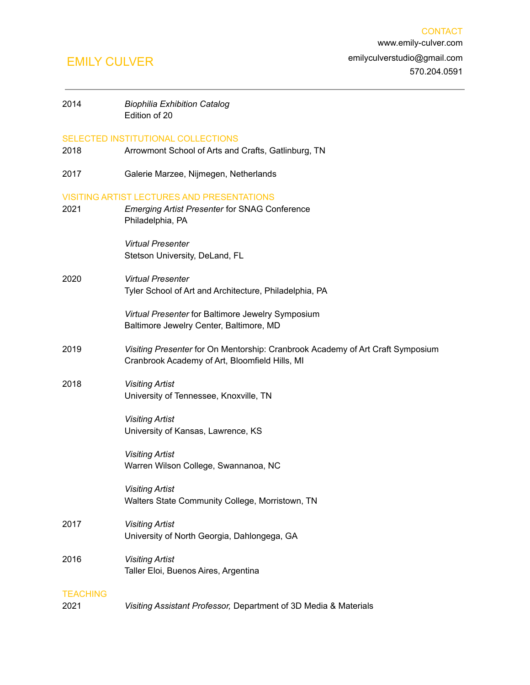| 2014                    | <b>Biophilia Exhibition Catalog</b><br>Edition of 20                                                                             |
|-------------------------|----------------------------------------------------------------------------------------------------------------------------------|
| 2018                    | SELECTED INSTITUTIONAL COLLECTIONS<br>Arrowmont School of Arts and Crafts, Gatlinburg, TN                                        |
| 2017                    | Galerie Marzee, Nijmegen, Netherlands                                                                                            |
| 2021                    | <b>VISITING ARTIST LECTURES AND PRESENTATIONS</b><br><b>Emerging Artist Presenter for SNAG Conference</b><br>Philadelphia, PA    |
|                         | <b>Virtual Presenter</b><br>Stetson University, DeLand, FL                                                                       |
| 2020                    | <b>Virtual Presenter</b><br>Tyler School of Art and Architecture, Philadelphia, PA                                               |
|                         | Virtual Presenter for Baltimore Jewelry Symposium<br>Baltimore Jewelry Center, Baltimore, MD                                     |
| 2019                    | Visiting Presenter for On Mentorship: Cranbrook Academy of Art Craft Symposium<br>Cranbrook Academy of Art, Bloomfield Hills, MI |
| 2018                    | <b>Visiting Artist</b><br>University of Tennessee, Knoxville, TN                                                                 |
|                         | <b>Visiting Artist</b><br>University of Kansas, Lawrence, KS                                                                     |
|                         | <b>Visiting Artist</b><br>Warren Wilson College, Swannanoa, NC                                                                   |
|                         | <b>Visiting Artist</b><br>Walters State Community College, Morristown, TN                                                        |
| 2017                    | <b>Visiting Artist</b><br>University of North Georgia, Dahlongega, GA                                                            |
| 2016                    | <b>Visiting Artist</b><br>Taller Eloi, Buenos Aires, Argentina                                                                   |
| <b>TEACHING</b><br>2021 | Visiting Assistant Professor, Department of 3D Media & Materials                                                                 |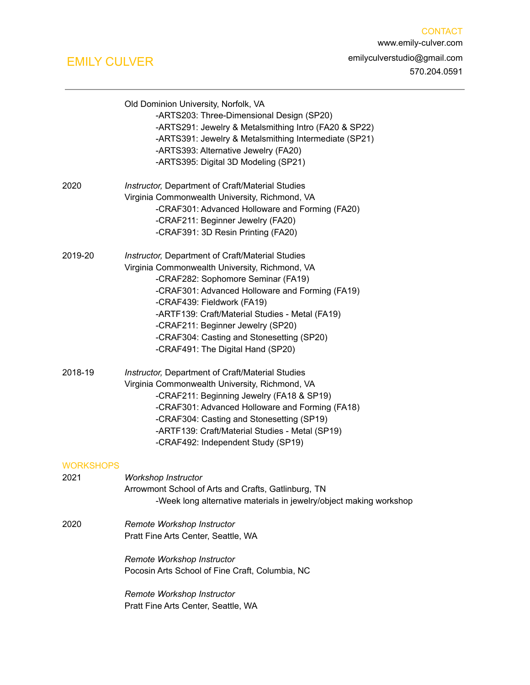|                  | Old Dominion University, Norfolk, VA<br>-ARTS203: Three-Dimensional Design (SP20)<br>-ARTS291: Jewelry & Metalsmithing Intro (FA20 & SP22)<br>-ARTS391: Jewelry & Metalsmithing Intermediate (SP21)<br>-ARTS393: Alternative Jewelry (FA20)<br>-ARTS395: Digital 3D Modeling (SP21)                                                                                                                 |
|------------------|-----------------------------------------------------------------------------------------------------------------------------------------------------------------------------------------------------------------------------------------------------------------------------------------------------------------------------------------------------------------------------------------------------|
| 2020             | Instructor, Department of Craft/Material Studies<br>Virginia Commonwealth University, Richmond, VA<br>-CRAF301: Advanced Holloware and Forming (FA20)<br>-CRAF211: Beginner Jewelry (FA20)<br>-CRAF391: 3D Resin Printing (FA20)                                                                                                                                                                    |
| 2019-20          | Instructor, Department of Craft/Material Studies<br>Virginia Commonwealth University, Richmond, VA<br>-CRAF282: Sophomore Seminar (FA19)<br>-CRAF301: Advanced Holloware and Forming (FA19)<br>-CRAF439: Fieldwork (FA19)<br>-ARTF139: Craft/Material Studies - Metal (FA19)<br>-CRAF211: Beginner Jewelry (SP20)<br>-CRAF304: Casting and Stonesetting (SP20)<br>-CRAF491: The Digital Hand (SP20) |
| 2018-19          | Instructor, Department of Craft/Material Studies<br>Virginia Commonwealth University, Richmond, VA<br>-CRAF211: Beginning Jewelry (FA18 & SP19)<br>-CRAF301: Advanced Holloware and Forming (FA18)<br>-CRAF304: Casting and Stonesetting (SP19)<br>-ARTF139: Craft/Material Studies - Metal (SP19)<br>-CRAF492: Independent Study (SP19)                                                            |
| <b>WORKSHOPS</b> |                                                                                                                                                                                                                                                                                                                                                                                                     |
| 2021             | Workshop Instructor<br>Arrowmont School of Arts and Crafts, Gatlinburg, TN<br>-Week long alternative materials in jewelry/object making workshop                                                                                                                                                                                                                                                    |
| 2020             | Remote Workshop Instructor<br>Pratt Fine Arts Center, Seattle, WA                                                                                                                                                                                                                                                                                                                                   |
|                  | Remote Workshop Instructor<br>Pocosin Arts School of Fine Craft, Columbia, NC                                                                                                                                                                                                                                                                                                                       |
|                  | Remote Workshop Instructor<br>Pratt Fine Arts Center, Seattle, WA                                                                                                                                                                                                                                                                                                                                   |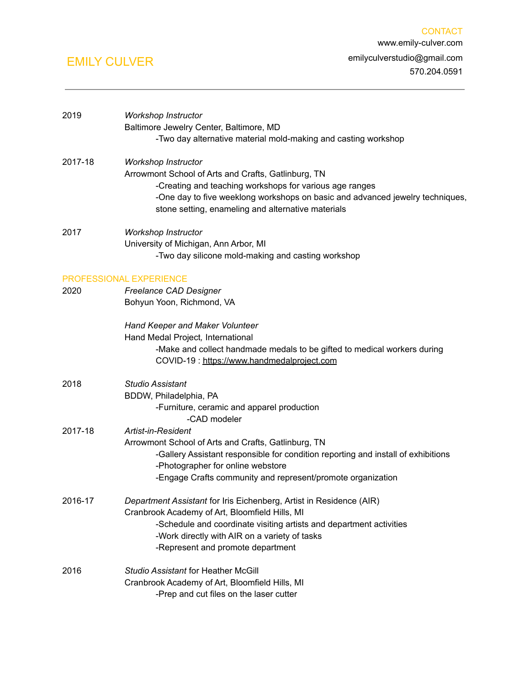| 2019    | Workshop Instructor<br>Baltimore Jewelry Center, Baltimore, MD<br>-Two day alternative material mold-making and casting workshop                                                                                                                                                   |
|---------|------------------------------------------------------------------------------------------------------------------------------------------------------------------------------------------------------------------------------------------------------------------------------------|
| 2017-18 | Workshop Instructor<br>Arrowmont School of Arts and Crafts, Gatlinburg, TN<br>-Creating and teaching workshops for various age ranges<br>-One day to five weeklong workshops on basic and advanced jewelry techniques,<br>stone setting, enameling and alternative materials       |
| 2017    | Workshop Instructor<br>University of Michigan, Ann Arbor, MI<br>-Two day silicone mold-making and casting workshop                                                                                                                                                                 |
| 2020    | PROFESSIONAL EXPERIENCE<br>Freelance CAD Designer<br>Bohyun Yoon, Richmond, VA                                                                                                                                                                                                     |
|         | Hand Keeper and Maker Volunteer<br>Hand Medal Project, International<br>-Make and collect handmade medals to be gifted to medical workers during<br>COVID-19: https://www.handmedalproject.com                                                                                     |
| 2018    | <b>Studio Assistant</b><br>BDDW, Philadelphia, PA<br>-Furniture, ceramic and apparel production<br>-CAD modeler                                                                                                                                                                    |
| 2017-18 | Artist-in-Resident<br>Arrowmont School of Arts and Crafts, Gatlinburg, TN<br>-Gallery Assistant responsible for condition reporting and install of exhibitions<br>-Photographer for online webstore<br>-Engage Crafts community and represent/promote organization                 |
| 2016-17 | Department Assistant for Iris Eichenberg, Artist in Residence (AIR)<br>Cranbrook Academy of Art, Bloomfield Hills, MI<br>-Schedule and coordinate visiting artists and department activities<br>-Work directly with AIR on a variety of tasks<br>-Represent and promote department |
| 2016    | <b>Studio Assistant for Heather McGill</b><br>Cranbrook Academy of Art, Bloomfield Hills, MI<br>-Prep and cut files on the laser cutter                                                                                                                                            |